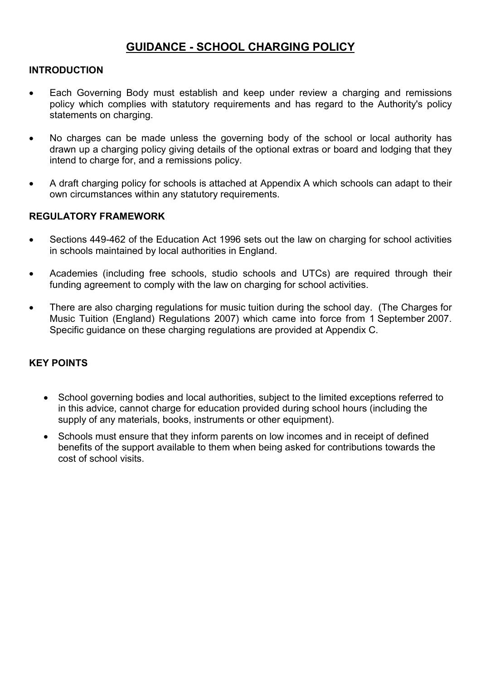# GUIDANCE - SCHOOL CHARGING POLICY

## INTRODUCTION

- Each Governing Body must establish and keep under review a charging and remissions policy which complies with statutory requirements and has regard to the Authority's policy statements on charging.
- No charges can be made unless the governing body of the school or local authority has drawn up a charging policy giving details of the optional extras or board and lodging that they intend to charge for, and a remissions policy.
- A draft charging policy for schools is attached at Appendix A which schools can adapt to their own circumstances within any statutory requirements.

### REGULATORY FRAMEWORK

- Sections 449-462 of the Education Act 1996 sets out the law on charging for school activities in schools maintained by local authorities in England.
- Academies (including free schools, studio schools and UTCs) are required through their funding agreement to comply with the law on charging for school activities.
- There are also charging regulations for music tuition during the school day. (The Charges for Music Tuition (England) Regulations 2007) which came into force from 1 September 2007. Specific guidance on these charging regulations are provided at Appendix C.

# KEY POINTS

- School governing bodies and local authorities, subject to the limited exceptions referred to in this advice, cannot charge for education provided during school hours (including the supply of any materials, books, instruments or other equipment).
- Schools must ensure that they inform parents on low incomes and in receipt of defined benefits of the support available to them when being asked for contributions towards the cost of school visits.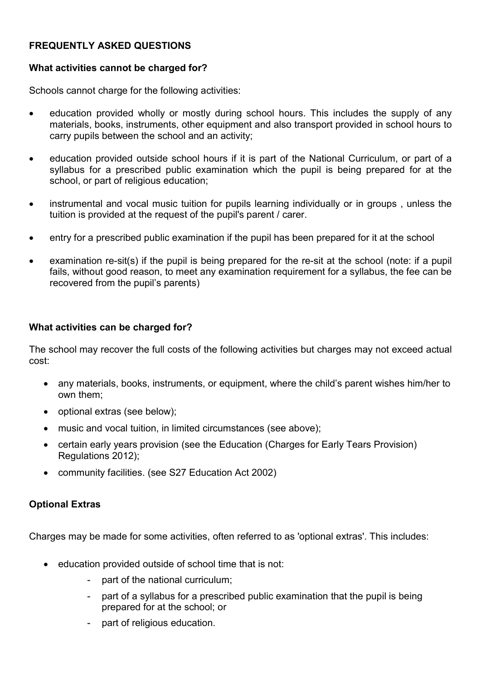# FREQUENTLY ASKED QUESTIONS

### What activities cannot be charged for?

Schools cannot charge for the following activities:

- education provided wholly or mostly during school hours. This includes the supply of any materials, books, instruments, other equipment and also transport provided in school hours to carry pupils between the school and an activity;
- education provided outside school hours if it is part of the National Curriculum, or part of a syllabus for a prescribed public examination which the pupil is being prepared for at the school, or part of religious education;
- instrumental and vocal music tuition for pupils learning individually or in groups, unless the tuition is provided at the request of the pupil's parent / carer.
- entry for a prescribed public examination if the pupil has been prepared for it at the school
- examination re-sit(s) if the pupil is being prepared for the re-sit at the school (note: if a pupil fails, without good reason, to meet any examination requirement for a syllabus, the fee can be recovered from the pupil's parents)

# What activities can be charged for?

The school may recover the full costs of the following activities but charges may not exceed actual cost:

- any materials, books, instruments, or equipment, where the child's parent wishes him/her to own them;
- optional extras (see below);
- music and vocal tuition, in limited circumstances (see above);
- certain early years provision (see the Education (Charges for Early Tears Provision) Regulations 2012);
- community facilities. (see S27 Education Act 2002)

# Optional Extras

Charges may be made for some activities, often referred to as 'optional extras'. This includes:

- education provided outside of school time that is not:
	- part of the national curriculum;
	- part of a syllabus for a prescribed public examination that the pupil is being prepared for at the school; or
	- part of religious education.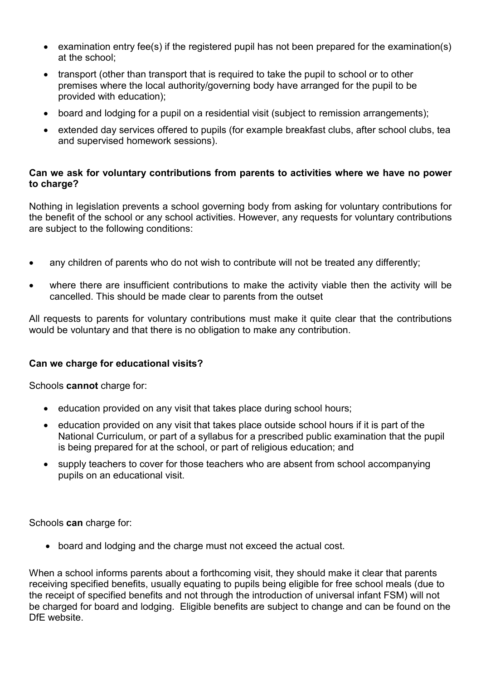- examination entry fee(s) if the registered pupil has not been prepared for the examination(s) at the school;
- transport (other than transport that is required to take the pupil to school or to other premises where the local authority/governing body have arranged for the pupil to be provided with education);
- board and lodging for a pupil on a residential visit (subject to remission arrangements);
- extended day services offered to pupils (for example breakfast clubs, after school clubs, tea and supervised homework sessions).

### Can we ask for voluntary contributions from parents to activities where we have no power to charge?

Nothing in legislation prevents a school governing body from asking for voluntary contributions for the benefit of the school or any school activities. However, any requests for voluntary contributions are subject to the following conditions:

- any children of parents who do not wish to contribute will not be treated any differently;
- where there are insufficient contributions to make the activity viable then the activity will be cancelled. This should be made clear to parents from the outset

All requests to parents for voluntary contributions must make it quite clear that the contributions would be voluntary and that there is no obligation to make any contribution.

### Can we charge for educational visits?

Schools **cannot** charge for:

- education provided on any visit that takes place during school hours;
- education provided on any visit that takes place outside school hours if it is part of the National Curriculum, or part of a syllabus for a prescribed public examination that the pupil is being prepared for at the school, or part of religious education; and
- supply teachers to cover for those teachers who are absent from school accompanying pupils on an educational visit.

Schools can charge for:

board and lodging and the charge must not exceed the actual cost.

When a school informs parents about a forthcoming visit, they should make it clear that parents receiving specified benefits, usually equating to pupils being eligible for free school meals (due to the receipt of specified benefits and not through the introduction of universal infant FSM) will not be charged for board and lodging. Eligible benefits are subject to change and can be found on the DfE website.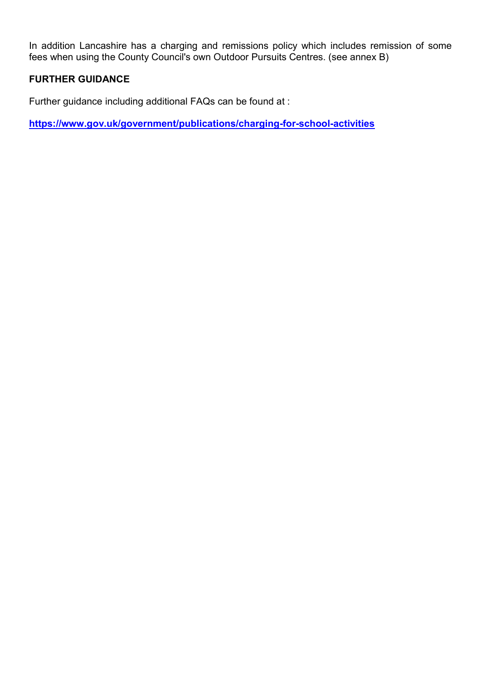In addition Lancashire has a charging and remissions policy which includes remission of some fees when using the County Council's own Outdoor Pursuits Centres. (see annex B)

# FURTHER GUIDANCE

Further guidance including additional FAQs can be found at :

https://www.gov.uk/government/publications/charging-for-school-activities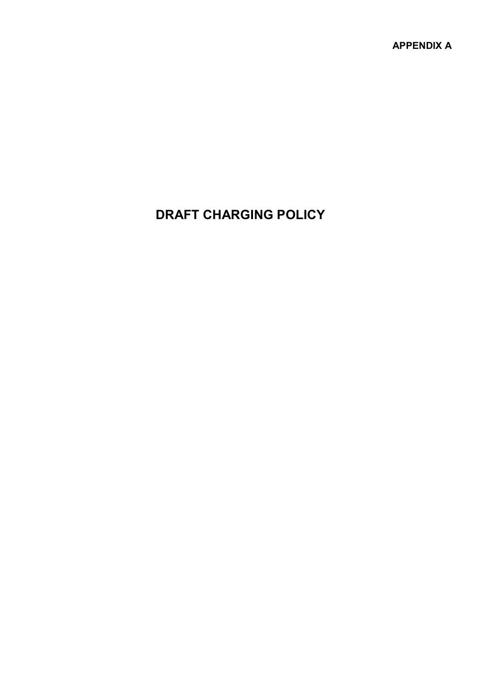APPENDIX A

# DRAFT CHARGING POLICY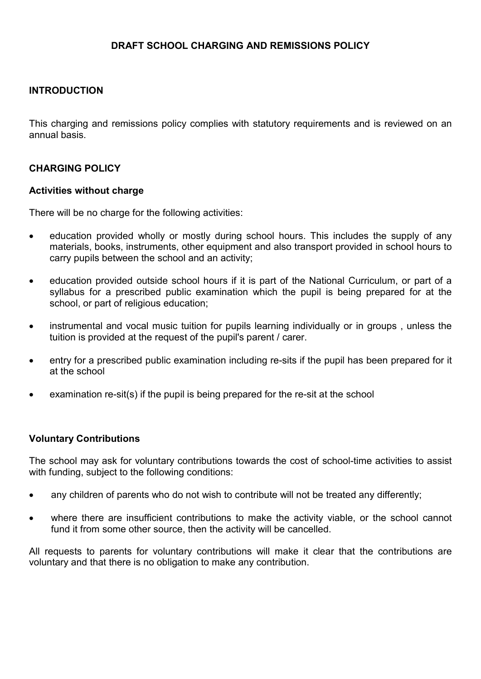## DRAFT SCHOOL CHARGING AND REMISSIONS POLICY

### INTRODUCTION

This charging and remissions policy complies with statutory requirements and is reviewed on an annual basis.

### CHARGING POLICY

#### Activities without charge

There will be no charge for the following activities:

- education provided wholly or mostly during school hours. This includes the supply of any materials, books, instruments, other equipment and also transport provided in school hours to carry pupils between the school and an activity;
- education provided outside school hours if it is part of the National Curriculum, or part of a syllabus for a prescribed public examination which the pupil is being prepared for at the school, or part of religious education;
- instrumental and vocal music tuition for pupils learning individually or in groups , unless the tuition is provided at the request of the pupil's parent / carer.
- entry for a prescribed public examination including re-sits if the pupil has been prepared for it at the school
- examination re-sit(s) if the pupil is being prepared for the re-sit at the school

### Voluntary Contributions

The school may ask for voluntary contributions towards the cost of school-time activities to assist with funding, subject to the following conditions:

- any children of parents who do not wish to contribute will not be treated any differently;
- where there are insufficient contributions to make the activity viable, or the school cannot fund it from some other source, then the activity will be cancelled.

All requests to parents for voluntary contributions will make it clear that the contributions are voluntary and that there is no obligation to make any contribution.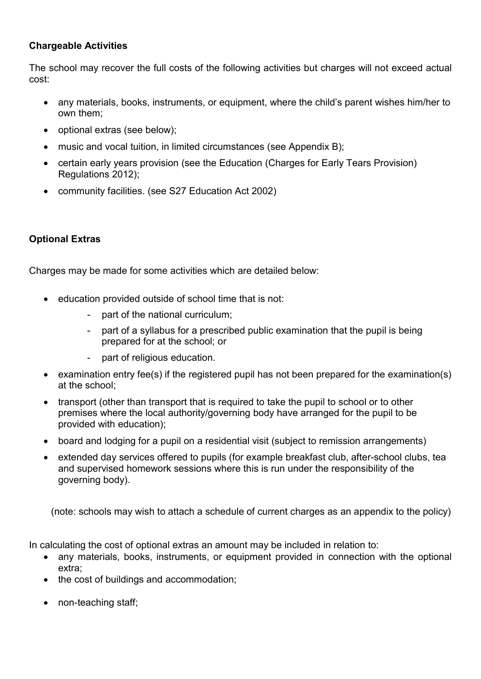# **Chargeable Activities**

The school may recover the full costs of the following activities but charges will not exceed actual cost:

- any materials, books, instruments, or equipment, where the child's parent wishes him/her to own them;
- optional extras (see below);
- music and vocal tuition, in limited circumstances (see Appendix B);
- certain early years provision (see the Education (Charges for Early Tears Provision) Regulations 2012);
- community facilities. (see S27 Education Act 2002)

# Optional Extras

Charges may be made for some activities which are detailed below:

- education provided outside of school time that is not:
	- part of the national curriculum;
	- part of a syllabus for a prescribed public examination that the pupil is being prepared for at the school; or
	- part of religious education.
- examination entry fee(s) if the registered pupil has not been prepared for the examination(s) at the school;
- transport (other than transport that is required to take the pupil to school or to other premises where the local authority/governing body have arranged for the pupil to be provided with education);
- board and lodging for a pupil on a residential visit (subject to remission arrangements)
- extended day services offered to pupils (for example breakfast club, after-school clubs, tea and supervised homework sessions where this is run under the responsibility of the governing body).

(note: schools may wish to attach a schedule of current charges as an appendix to the policy)

In calculating the cost of optional extras an amount may be included in relation to:

- any materials, books, instruments, or equipment provided in connection with the optional extra;
- the cost of buildings and accommodation;
- non-teaching staff;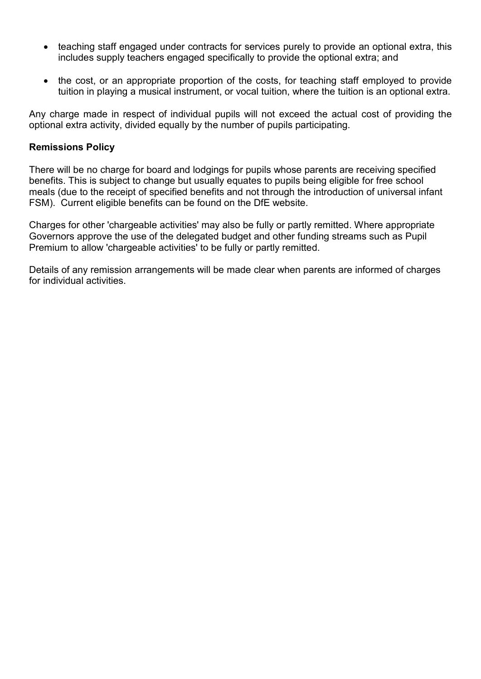- teaching staff engaged under contracts for services purely to provide an optional extra, this includes supply teachers engaged specifically to provide the optional extra; and
- the cost, or an appropriate proportion of the costs, for teaching staff employed to provide tuition in playing a musical instrument, or vocal tuition, where the tuition is an optional extra.

Any charge made in respect of individual pupils will not exceed the actual cost of providing the optional extra activity, divided equally by the number of pupils participating.

### Remissions Policy

There will be no charge for board and lodgings for pupils whose parents are receiving specified benefits. This is subject to change but usually equates to pupils being eligible for free school meals (due to the receipt of specified benefits and not through the introduction of universal infant FSM). Current eligible benefits can be found on the DfE website.

Charges for other 'chargeable activities' may also be fully or partly remitted. Where appropriate Governors approve the use of the delegated budget and other funding streams such as Pupil Premium to allow 'chargeable activities' to be fully or partly remitted.

Details of any remission arrangements will be made clear when parents are informed of charges for individual activities.